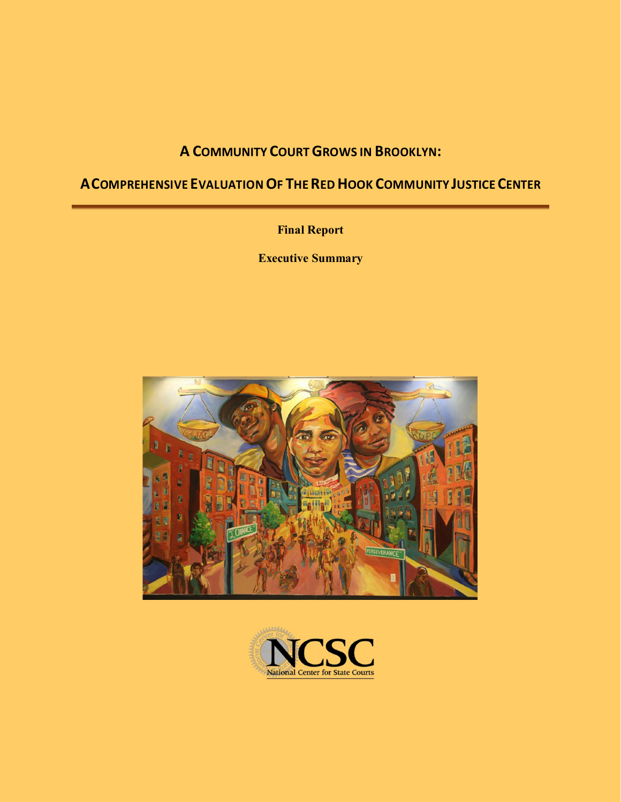# **A COMMUNITY COURTGROWS IN BROOKLYN:**

# **ACOMPREHENSIVE EVALUATIONOF THEREDHOOK COMMUNITY JUSTICECENTER**

**Final Report**

**Executive Summary**



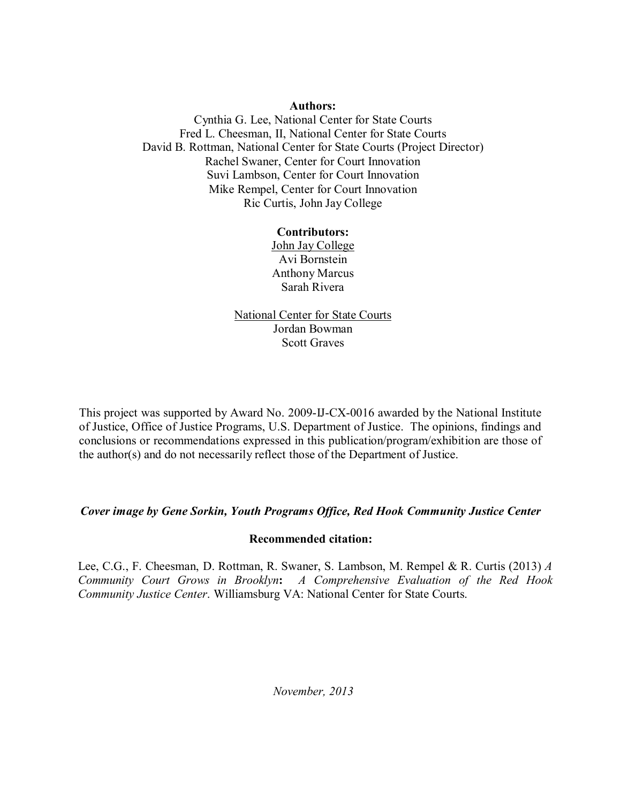#### **Authors:**

Cynthia G. Lee, National Center for State Courts Fred L. Cheesman, II, National Center for State Courts David B. Rottman, National Center for State Courts (Project Director) Rachel Swaner, Center for Court Innovation Suvi Lambson, Center for Court Innovation Mike Rempel, Center for Court Innovation Ric Curtis, John Jay College

## **Contributors:**

John Jay College Avi Bornstein Anthony Marcus Sarah Rivera

National Center for State Courts Jordan Bowman Scott Graves

This project was supported by Award No. 2009-IJ-CX-0016 awarded by the National Institute of Justice, Office of Justice Programs, U.S. Department of Justice. The opinions, findings and conclusions or recommendations expressed in this publication/program/exhibition are those of the author(s) and do not necessarily reflect those of the Department of Justice.

## *Cover image by Gene Sorkin, Youth Programs Office, Red Hook Community Justice Center*

#### **Recommended citation:**

Lee, C.G., F. Cheesman, D. Rottman, R. Swaner, S. Lambson, M. Rempel & R. Curtis (2013) *A Community Court Grows in Brooklyn***:** *A Comprehensive Evaluation of the Red Hook Community Justice Center*. Williamsburg VA: National Center for State Courts.

*November, 2013*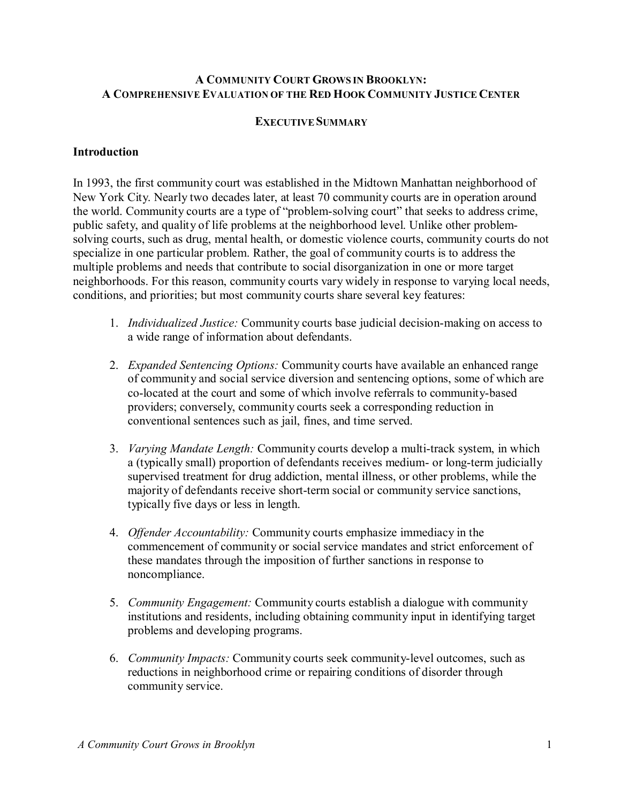## **A COMMUNITY COURT GROWS IN BROOKLYN: A COMPREHENSIVE EVALUATION OF THE RED HOOK COMMUNITY JUSTICE CENTER**

#### **EXECUTIVESUMMARY**

## **Introduction**

In 1993, the first community court was established in the Midtown Manhattan neighborhood of New York City. Nearly two decades later, at least 70 community courts are in operation around the world. Community courts are a type of "problem-solving court" that seeks to address crime, public safety, and quality of life problems at the neighborhood level. Unlike other problemsolving courts, such as drug, mental health, or domestic violence courts, community courts do not specialize in one particular problem. Rather, the goal of community courts is to address the multiple problems and needs that contribute to social disorganization in one or more target neighborhoods. For this reason, community courts vary widely in response to varying local needs, conditions, and priorities; but most community courts share several key features:

- 1. *Individualized Justice:* Community courts base judicial decision-making on access to a wide range of information about defendants.
- 2. *Expanded Sentencing Options:* Community courts have available an enhanced range of community and social service diversion and sentencing options, some of which are co-located at the court and some of which involve referrals to community-based providers; conversely, community courts seek a corresponding reduction in conventional sentences such as jail, fines, and time served.
- 3. *Varying Mandate Length:* Community courts develop a multi-track system, in which a (typically small) proportion of defendants receives medium- or long-term judicially supervised treatment for drug addiction, mental illness, or other problems, while the majority of defendants receive short-term social or community service sanctions, typically five days or less in length.
- 4. *Offender Accountability:* Community courts emphasize immediacy in the commencement of community or social service mandates and strict enforcement of these mandates through the imposition of further sanctions in response to noncompliance.
- 5. *Community Engagement:* Community courts establish a dialogue with community institutions and residents, including obtaining community input in identifying target problems and developing programs.
- 6. *Community Impacts:* Community courts seek community-level outcomes, such as reductions in neighborhood crime or repairing conditions of disorder through community service.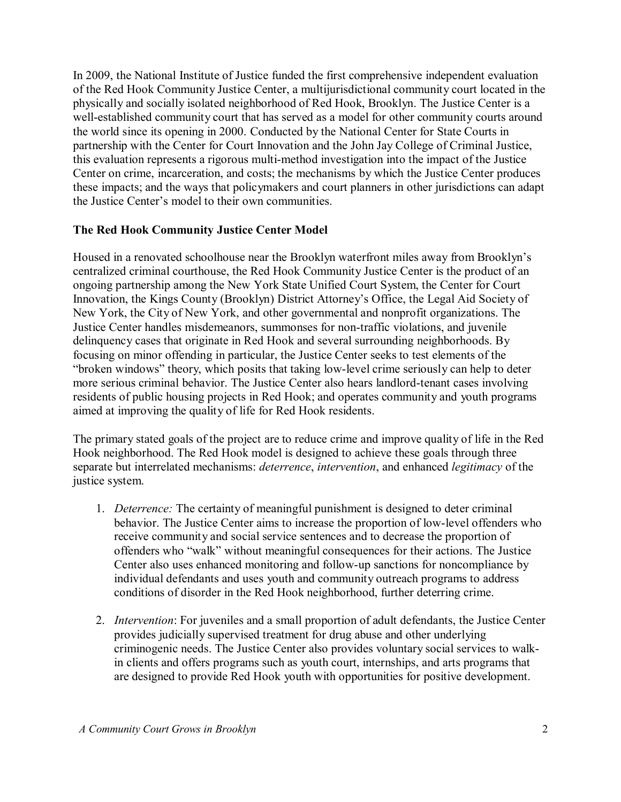In 2009, the National Institute of Justice funded the first comprehensive independent evaluation of the Red Hook Community Justice Center, a multijurisdictional community court located in the physically and socially isolated neighborhood of Red Hook, Brooklyn. The Justice Center is a well-established community court that has served as a model for other community courts around the world since its opening in 2000. Conducted by the National Center for State Courts in partnership with the Center for Court Innovation and the John Jay College of Criminal Justice, this evaluation represents a rigorous multi-method investigation into the impact of the Justice Center on crime, incarceration, and costs; the mechanisms by which the Justice Center produces these impacts; and the ways that policymakers and court planners in other jurisdictions can adapt the Justice Center's model to their own communities.

# **The Red Hook Community Justice Center Model**

Housed in a renovated schoolhouse near the Brooklyn waterfront miles away from Brooklyn's centralized criminal courthouse, the Red Hook Community Justice Center is the product of an ongoing partnership among the New York State Unified Court System, the Center for Court Innovation, the Kings County (Brooklyn) District Attorney's Office, the Legal Aid Society of New York, the City of New York, and other governmental and nonprofit organizations. The Justice Center handles misdemeanors, summonses for non-traffic violations, and juvenile delinquency cases that originate in Red Hook and several surrounding neighborhoods. By focusing on minor offending in particular, the Justice Center seeks to test elements of the "broken windows" theory, which posits that taking low-level crime seriously can help to deter more serious criminal behavior. The Justice Center also hears landlord-tenant cases involving residents of public housing projects in Red Hook; and operates community and youth programs aimed at improving the quality of life for Red Hook residents.

The primary stated goals of the project are to reduce crime and improve quality of life in the Red Hook neighborhood. The Red Hook model is designed to achieve these goals through three separate but interrelated mechanisms: *deterrence*, *intervention*, and enhanced *legitimacy* of the justice system.

- 1. *Deterrence:* The certainty of meaningful punishment is designed to deter criminal behavior. The Justice Center aims to increase the proportion of low-level offenders who receive community and social service sentences and to decrease the proportion of offenders who "walk" without meaningful consequences for their actions. The Justice Center also uses enhanced monitoring and follow-up sanctions for noncompliance by individual defendants and uses youth and community outreach programs to address conditions of disorder in the Red Hook neighborhood, further deterring crime.
- 2. *Intervention*: For juveniles and a small proportion of adult defendants, the Justice Center provides judicially supervised treatment for drug abuse and other underlying criminogenic needs. The Justice Center also provides voluntary social services to walkin clients and offers programs such as youth court, internships, and arts programs that are designed to provide Red Hook youth with opportunities for positive development.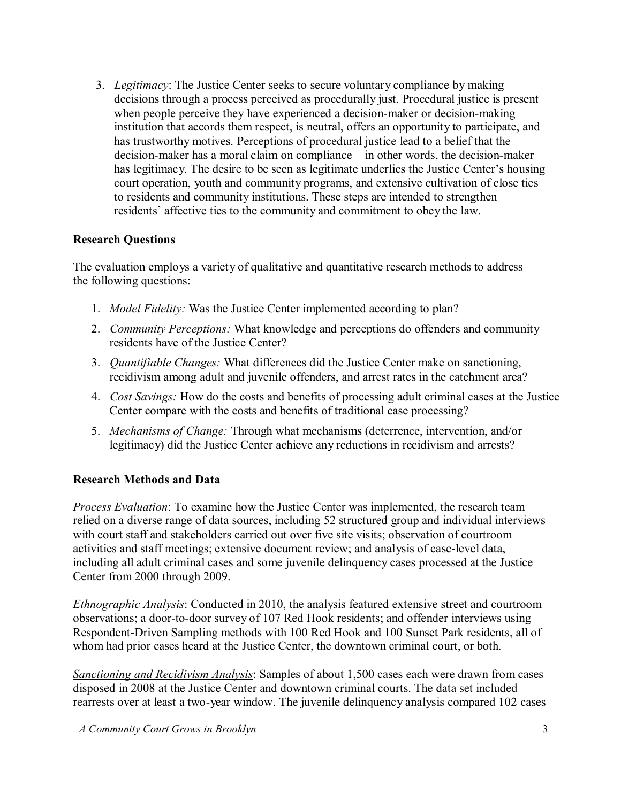3. *Legitimacy*: The Justice Center seeks to secure voluntary compliance by making decisions through a process perceived as procedurally just. Procedural justice is present when people perceive they have experienced a decision-maker or decision-making institution that accords them respect, is neutral, offers an opportunity to participate, and has trustworthy motives. Perceptions of procedural justice lead to a belief that the decision-maker has a moral claim on compliance—in other words, the decision-maker has legitimacy. The desire to be seen as legitimate underlies the Justice Center's housing court operation, youth and community programs, and extensive cultivation of close ties to residents and community institutions. These steps are intended to strengthen residents' affective ties to the community and commitment to obey the law.

# **Research Questions**

The evaluation employs a variety of qualitative and quantitative research methods to address the following questions:

- 1. *Model Fidelity:* Was the Justice Center implemented according to plan?
- 2. *Community Perceptions:* What knowledge and perceptions do offenders and community residents have of the Justice Center?
- 3. *Quantifiable Changes:* What differences did the Justice Center make on sanctioning, recidivism among adult and juvenile offenders, and arrest rates in the catchment area?
- 4. *Cost Savings:* How do the costs and benefits of processing adult criminal cases at the Justice Center compare with the costs and benefits of traditional case processing?
- 5. *Mechanisms of Change:* Through what mechanisms (deterrence, intervention, and/or legitimacy) did the Justice Center achieve any reductions in recidivism and arrests?

# **Research Methods and Data**

*Process Evaluation*: To examine how the Justice Center was implemented, the research team relied on a diverse range of data sources, including 52 structured group and individual interviews with court staff and stakeholders carried out over five site visits; observation of courtroom activities and staff meetings; extensive document review; and analysis of case-level data, including all adult criminal cases and some juvenile delinquency cases processed at the Justice Center from 2000 through 2009.

*Ethnographic Analysis*: Conducted in 2010, the analysis featured extensive street and courtroom observations; a door-to-door survey of 107 Red Hook residents; and offender interviews using Respondent-Driven Sampling methods with 100 Red Hook and 100 Sunset Park residents, all of whom had prior cases heard at the Justice Center, the downtown criminal court, or both.

*Sanctioning and Recidivism Analysis*: Samples of about 1,500 cases each were drawn from cases disposed in 2008 at the Justice Center and downtown criminal courts. The data set included rearrests over at least a two-year window. The juvenile delinquency analysis compared 102 cases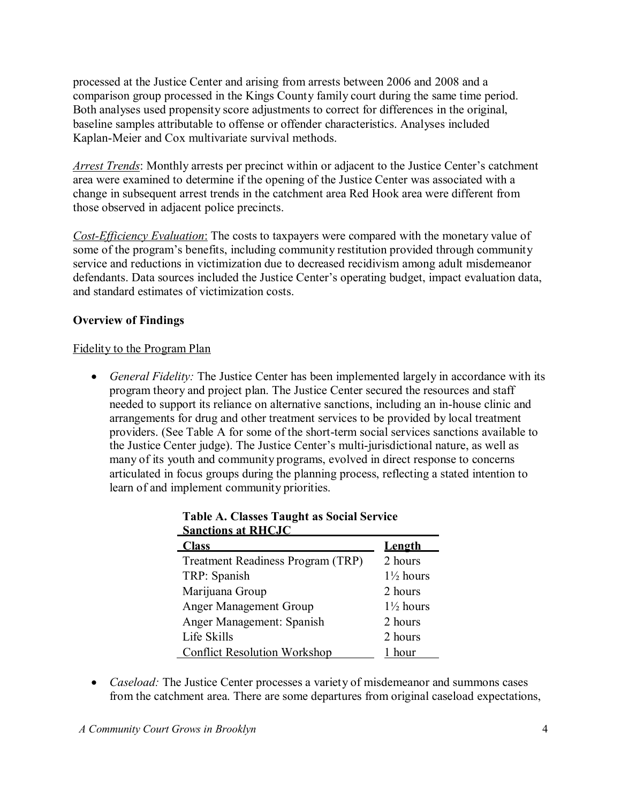processed at the Justice Center and arising from arrests between 2006 and 2008 and a comparison group processed in the Kings County family court during the same time period. Both analyses used propensity score adjustments to correct for differences in the original, baseline samples attributable to offense or offender characteristics. Analyses included Kaplan-Meier and Cox multivariate survival methods.

*Arrest Trends*: Monthly arrests per precinct within or adjacent to the Justice Center's catchment area were examined to determine if the opening of the Justice Center was associated with a change in subsequent arrest trends in the catchment area Red Hook area were different from those observed in adjacent police precincts.

*Cost-Efficiency Evaluation*: The costs to taxpayers were compared with the monetary value of some of the program's benefits, including community restitution provided through community service and reductions in victimization due to decreased recidivism among adult misdemeanor defendants. Data sources included the Justice Center's operating budget, impact evaluation data, and standard estimates of victimization costs.

# **Overview of Findings**

## Fidelity to the Program Plan

 *General Fidelity:* The Justice Center has been implemented largely in accordance with its program theory and project plan. The Justice Center secured the resources and staff needed to support its reliance on alternative sanctions, including an in-house clinic and arrangements for drug and other treatment services to be provided by local treatment providers. (See Table A for some of the short-term social services sanctions available to the Justice Center judge). The Justice Center's multi-jurisdictional nature, as well as many of its youth and community programs, evolved in direct response to concerns articulated in focus groups during the planning process, reflecting a stated intention to learn of and implement community priorities.

| SANCHONS AL IXILCJU                 |                      |
|-------------------------------------|----------------------|
| <b>Class</b>                        | Length               |
| Treatment Readiness Program (TRP)   | 2 hours              |
| TRP: Spanish                        | $1\frac{1}{2}$ hours |
| Marijuana Group                     | 2 hours              |
| <b>Anger Management Group</b>       | $1\frac{1}{2}$ hours |
| Anger Management: Spanish           | 2 hours              |
| Life Skills                         | 2 hours              |
| <b>Conflict Resolution Workshop</b> | hour                 |

| <b>Table A. Classes Taught as Social Service</b> |  |  |
|--------------------------------------------------|--|--|
| <b>Sanctions at RHCJC</b>                        |  |  |

 *Caseload:* The Justice Center processes a variety of misdemeanor and summons cases from the catchment area. There are some departures from original caseload expectations,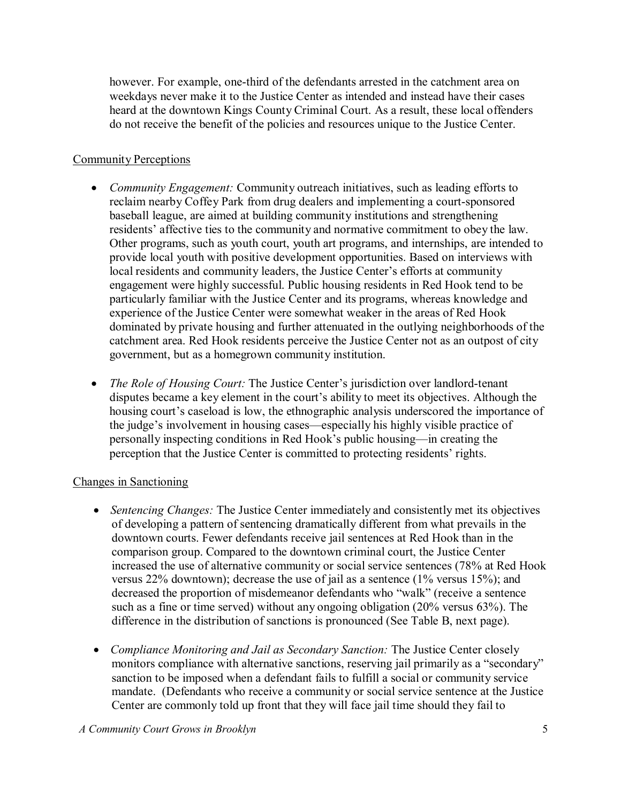however. For example, one-third of the defendants arrested in the catchment area on weekdays never make it to the Justice Center as intended and instead have their cases heard at the downtown Kings County Criminal Court. As a result, these local offenders do not receive the benefit of the policies and resources unique to the Justice Center.

## Community Perceptions

- *Community Engagement:* Community outreach initiatives, such as leading efforts to reclaim nearby Coffey Park from drug dealers and implementing a court-sponsored baseball league, are aimed at building community institutions and strengthening residents' affective ties to the community and normative commitment to obey the law. Other programs, such as youth court, youth art programs, and internships, are intended to provide local youth with positive development opportunities. Based on interviews with local residents and community leaders, the Justice Center's efforts at community engagement were highly successful. Public housing residents in Red Hook tend to be particularly familiar with the Justice Center and its programs, whereas knowledge and experience of the Justice Center were somewhat weaker in the areas of Red Hook dominated by private housing and further attenuated in the outlying neighborhoods of the catchment area. Red Hook residents perceive the Justice Center not as an outpost of city government, but as a homegrown community institution.
- *The Role of Housing Court:* The Justice Center's jurisdiction over landlord-tenant disputes became a key element in the court's ability to meet its objectives. Although the housing court's caseload is low, the ethnographic analysis underscored the importance of the judge's involvement in housing cases—especially his highly visible practice of personally inspecting conditions in Red Hook's public housing—in creating the perception that the Justice Center is committed to protecting residents' rights.

# Changes in Sanctioning

- *Sentencing Changes:* The Justice Center immediately and consistently met its objectives of developing a pattern of sentencing dramatically different from what prevails in the downtown courts. Fewer defendants receive jail sentences at Red Hook than in the comparison group. Compared to the downtown criminal court, the Justice Center increased the use of alternative community or social service sentences (78% at Red Hook versus 22% downtown); decrease the use of jail as a sentence (1% versus 15%); and decreased the proportion of misdemeanor defendants who "walk" (receive a sentence such as a fine or time served) without any ongoing obligation (20% versus 63%). The difference in the distribution of sanctions is pronounced (See Table B, next page).
- *Compliance Monitoring and Jail as Secondary Sanction:* The Justice Center closely monitors compliance with alternative sanctions, reserving jail primarily as a "secondary" sanction to be imposed when a defendant fails to fulfill a social or community service mandate. (Defendants who receive a community or social service sentence at the Justice Center are commonly told up front that they will face jail time should they fail to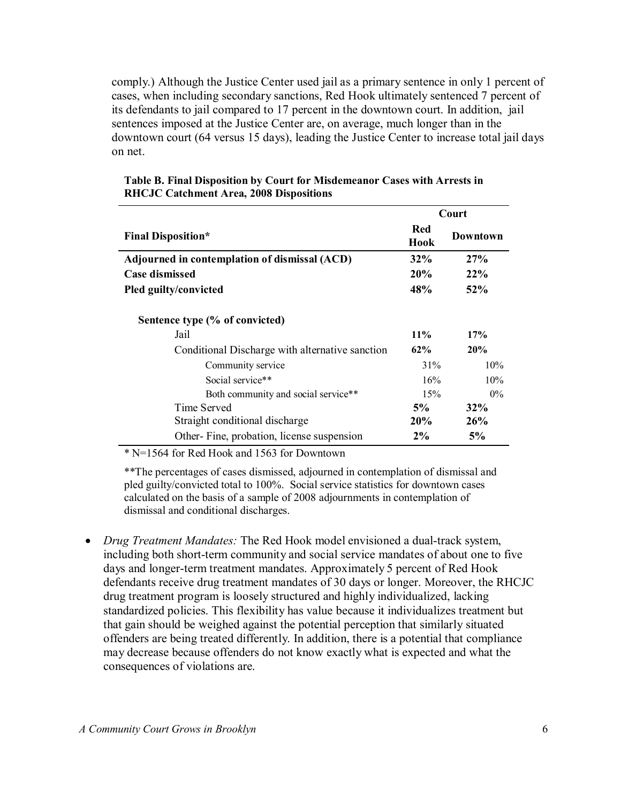comply.) Although the Justice Center used jail as a primary sentence in only 1 percent of cases, when including secondary sanctions, Red Hook ultimately sentenced 7 percent of its defendants to jail compared to 17 percent in the downtown court. In addition, jail sentences imposed at the Justice Center are, on average, much longer than in the downtown court (64 versus 15 days), leading the Justice Center to increase total jail days on net.

|                                                 | Court       |                 |
|-------------------------------------------------|-------------|-----------------|
| <b>Final Disposition*</b>                       | Red<br>Hook | <b>Downtown</b> |
| Adjourned in contemplation of dismissal (ACD)   | 32%         | 27%             |
| <b>Case dismissed</b>                           | 20%         | 22%             |
| Pled guilty/convicted                           | 48%         | 52%             |
| Sentence type (% of convicted)                  |             |                 |
| Jail                                            | $11\%$      | 17%             |
| Conditional Discharge with alternative sanction | 62%         | 20%             |
| Community service                               | 31%         | 10%             |
| Social service**                                | 16%         | 10%             |
| Both community and social service**             | 15%         | $0\%$           |
| Time Served                                     | 5%          | $32\%$          |
| Straight conditional discharge                  | <b>20%</b>  | 26%             |
| Other-Fine, probation, license suspension       | $2\%$       | 5%              |

#### **Table B. Final Disposition by Court for Misdemeanor Cases with Arrests in RHCJC Catchment Area, 2008 Dispositions**

\* N=1564 for Red Hook and 1563 for Downtown

\*\*The percentages of cases dismissed, adjourned in contemplation of dismissal and pled guilty/convicted total to 100%. Social service statistics for downtown cases calculated on the basis of a sample of 2008 adjournments in contemplation of dismissal and conditional discharges.

 *Drug Treatment Mandates:* The Red Hook model envisioned a dual-track system, including both short-term community and social service mandates of about one to five days and longer-term treatment mandates. Approximately 5 percent of Red Hook defendants receive drug treatment mandates of 30 days or longer. Moreover, the RHCJC drug treatment program is loosely structured and highly individualized, lacking standardized policies. This flexibility has value because it individualizes treatment but that gain should be weighed against the potential perception that similarly situated offenders are being treated differently. In addition, there is a potential that compliance may decrease because offenders do not know exactly what is expected and what the consequences of violations are.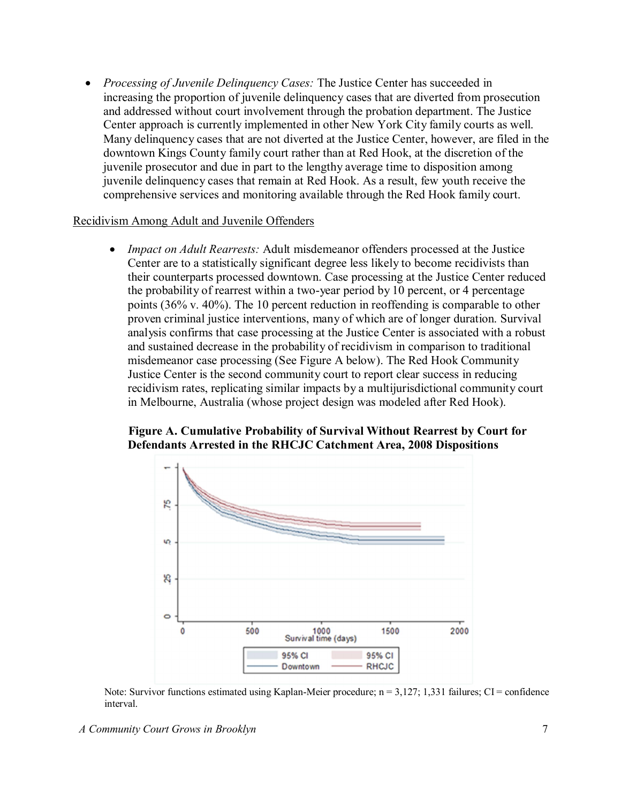*Processing of Juvenile Delinquency Cases:* The Justice Center has succeeded in increasing the proportion of juvenile delinquency cases that are diverted from prosecution and addressed without court involvement through the probation department. The Justice Center approach is currently implemented in other New York City family courts as well. Many delinquency cases that are not diverted at the Justice Center, however, are filed in the downtown Kings County family court rather than at Red Hook, at the discretion of the juvenile prosecutor and due in part to the lengthy average time to disposition among juvenile delinquency cases that remain at Red Hook. As a result, few youth receive the comprehensive services and monitoring available through the Red Hook family court.

### Recidivism Among Adult and Juvenile Offenders

 *Impact on Adult Rearrests:* Adult misdemeanor offenders processed at the Justice Center are to a statistically significant degree less likely to become recidivists than their counterparts processed downtown. Case processing at the Justice Center reduced the probability of rearrest within a two-year period by 10 percent, or 4 percentage points (36% v. 40%). The 10 percent reduction in reoffending is comparable to other proven criminal justice interventions, many of which are of longer duration. Survival analysis confirms that case processing at the Justice Center is associated with a robust and sustained decrease in the probability of recidivism in comparison to traditional misdemeanor case processing (See Figure A below). The Red Hook Community Justice Center is the second community court to report clear success in reducing recidivism rates, replicating similar impacts by a multijurisdictional community court in Melbourne, Australia (whose project design was modeled after Red Hook).

## **Figure A. Cumulative Probability of Survival Without Rearrest by Court for Defendants Arrested in the RHCJC Catchment Area, 2008 Dispositions**



Note: Survivor functions estimated using Kaplan-Meier procedure;  $n = 3,127; 1,331$  failures; CI = confidence interval.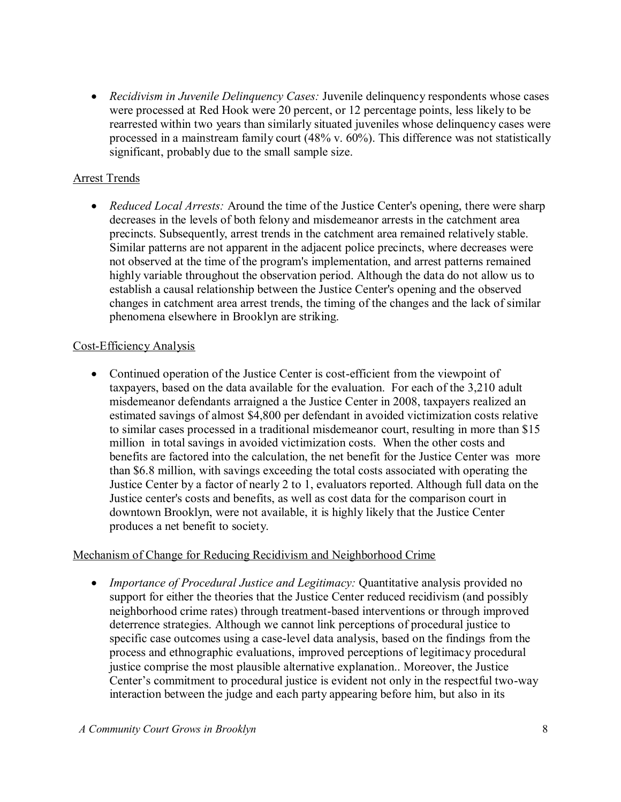*Recidivism in Juvenile Delinquency Cases:* Juvenile delinquency respondents whose cases were processed at Red Hook were 20 percent, or 12 percentage points, less likely to be rearrested within two years than similarly situated juveniles whose delinquency cases were processed in a mainstream family court (48% v. 60%). This difference was not statistically significant, probably due to the small sample size.

# Arrest Trends

 *Reduced Local Arrests:* Around the time of the Justice Center's opening, there were sharp decreases in the levels of both felony and misdemeanor arrests in the catchment area precincts. Subsequently, arrest trends in the catchment area remained relatively stable. Similar patterns are not apparent in the adjacent police precincts, where decreases were not observed at the time of the program's implementation, and arrest patterns remained highly variable throughout the observation period. Although the data do not allow us to establish a causal relationship between the Justice Center's opening and the observed changes in catchment area arrest trends, the timing of the changes and the lack of similar phenomena elsewhere in Brooklyn are striking.

# Cost-Efficiency Analysis

 Continued operation of the Justice Center is cost-efficient from the viewpoint of taxpayers, based on the data available for the evaluation. For each of the 3,210 adult misdemeanor defendants arraigned a the Justice Center in 2008, taxpayers realized an estimated savings of almost \$4,800 per defendant in avoided victimization costs relative to similar cases processed in a traditional misdemeanor court, resulting in more than \$15 million in total savings in avoided victimization costs. When the other costs and benefits are factored into the calculation, the net benefit for the Justice Center was more than \$6.8 million, with savings exceeding the total costs associated with operating the Justice Center by a factor of nearly 2 to 1, evaluators reported. Although full data on the Justice center's costs and benefits, as well as cost data for the comparison court in downtown Brooklyn, were not available, it is highly likely that the Justice Center produces a net benefit to society.

# Mechanism of Change for Reducing Recidivism and Neighborhood Crime

 *Importance of Procedural Justice and Legitimacy:* Quantitative analysis provided no support for either the theories that the Justice Center reduced recidivism (and possibly neighborhood crime rates) through treatment-based interventions or through improved deterrence strategies. Although we cannot link perceptions of procedural justice to specific case outcomes using a case-level data analysis, based on the findings from the process and ethnographic evaluations, improved perceptions of legitimacy procedural justice comprise the most plausible alternative explanation.. Moreover, the Justice Center's commitment to procedural justice is evident not only in the respectful two-way interaction between the judge and each party appearing before him, but also in its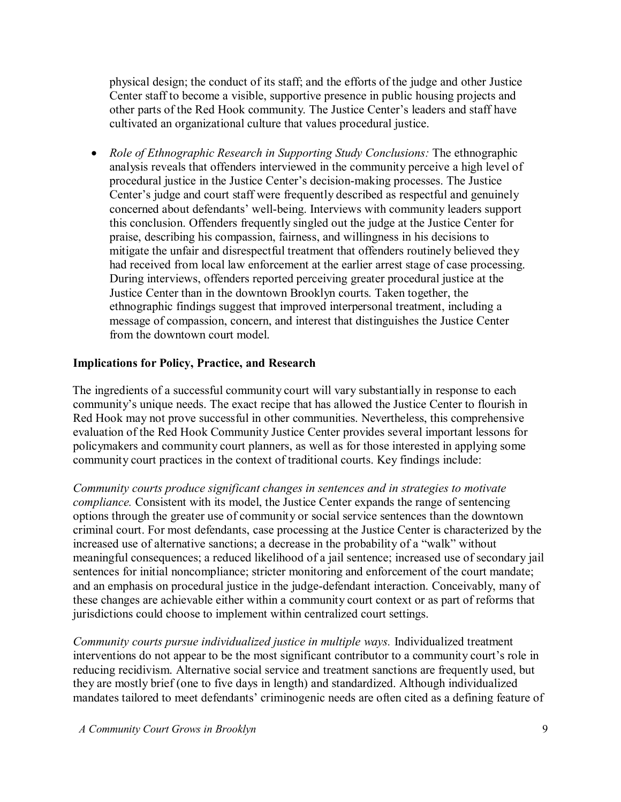physical design; the conduct of its staff; and the efforts of the judge and other Justice Center staff to become a visible, supportive presence in public housing projects and other parts of the Red Hook community. The Justice Center's leaders and staff have cultivated an organizational culture that values procedural justice.

 *Role of Ethnographic Research in Supporting Study Conclusions:* The ethnographic analysis reveals that offenders interviewed in the community perceive a high level of procedural justice in the Justice Center's decision-making processes. The Justice Center's judge and court staff were frequently described as respectful and genuinely concerned about defendants' well-being. Interviews with community leaders support this conclusion. Offenders frequently singled out the judge at the Justice Center for praise, describing his compassion, fairness, and willingness in his decisions to mitigate the unfair and disrespectful treatment that offenders routinely believed they had received from local law enforcement at the earlier arrest stage of case processing. During interviews, offenders reported perceiving greater procedural justice at the Justice Center than in the downtown Brooklyn courts. Taken together, the ethnographic findings suggest that improved interpersonal treatment, including a message of compassion, concern, and interest that distinguishes the Justice Center from the downtown court model.

### **Implications for Policy, Practice, and Research**

The ingredients of a successful community court will vary substantially in response to each community's unique needs. The exact recipe that has allowed the Justice Center to flourish in Red Hook may not prove successful in other communities. Nevertheless, this comprehensive evaluation of the Red Hook Community Justice Center provides several important lessons for policymakers and community court planners, as well as for those interested in applying some community court practices in the context of traditional courts. Key findings include:

*Community courts produce significant changes in sentences and in strategies to motivate compliance.* Consistent with its model, the Justice Center expands the range of sentencing options through the greater use of community or social service sentences than the downtown criminal court. For most defendants, case processing at the Justice Center is characterized by the increased use of alternative sanctions; a decrease in the probability of a "walk" without meaningful consequences; a reduced likelihood of a jail sentence; increased use of secondary jail sentences for initial noncompliance; stricter monitoring and enforcement of the court mandate; and an emphasis on procedural justice in the judge-defendant interaction. Conceivably, many of these changes are achievable either within a community court context or as part of reforms that jurisdictions could choose to implement within centralized court settings.

*Community courts pursue individualized justice in multiple ways.* Individualized treatment interventions do not appear to be the most significant contributor to a community court's role in reducing recidivism. Alternative social service and treatment sanctions are frequently used, but they are mostly brief (one to five days in length) and standardized. Although individualized mandates tailored to meet defendants' criminogenic needs are often cited as a defining feature of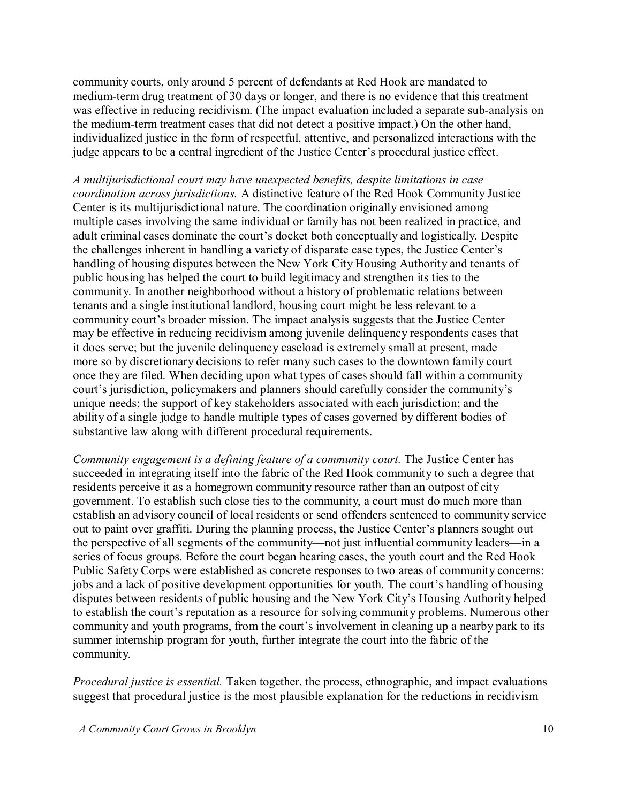community courts, only around 5 percent of defendants at Red Hook are mandated to medium-term drug treatment of 30 days or longer, and there is no evidence that this treatment was effective in reducing recidivism. (The impact evaluation included a separate sub-analysis on the medium-term treatment cases that did not detect a positive impact.) On the other hand, individualized justice in the form of respectful, attentive, and personalized interactions with the judge appears to be a central ingredient of the Justice Center's procedural justice effect.

*A multijurisdictional court may have unexpected benefits, despite limitations in case coordination across jurisdictions.* A distinctive feature of the Red Hook Community Justice Center is its multijurisdictional nature. The coordination originally envisioned among multiple cases involving the same individual or family has not been realized in practice, and adult criminal cases dominate the court's docket both conceptually and logistically. Despite the challenges inherent in handling a variety of disparate case types, the Justice Center's handling of housing disputes between the New York City Housing Authority and tenants of public housing has helped the court to build legitimacy and strengthen its ties to the community. In another neighborhood without a history of problematic relations between tenants and a single institutional landlord, housing court might be less relevant to a community court's broader mission. The impact analysis suggests that the Justice Center may be effective in reducing recidivism among juvenile delinquency respondents cases that it does serve; but the juvenile delinquency caseload is extremely small at present, made more so by discretionary decisions to refer many such cases to the downtown family court once they are filed. When deciding upon what types of cases should fall within a community court's jurisdiction, policymakers and planners should carefully consider the community's unique needs; the support of key stakeholders associated with each jurisdiction; and the ability of a single judge to handle multiple types of cases governed by different bodies of substantive law along with different procedural requirements.

*Community engagement is a defining feature of a community court.* The Justice Center has succeeded in integrating itself into the fabric of the Red Hook community to such a degree that residents perceive it as a homegrown community resource rather than an outpost of city government. To establish such close ties to the community, a court must do much more than establish an advisory council of local residents or send offenders sentenced to community service out to paint over graffiti. During the planning process, the Justice Center's planners sought out the perspective of all segments of the community—not just influential community leaders—in a series of focus groups. Before the court began hearing cases, the youth court and the Red Hook Public Safety Corps were established as concrete responses to two areas of community concerns: jobs and a lack of positive development opportunities for youth. The court's handling of housing disputes between residents of public housing and the New York City's Housing Authority helped to establish the court's reputation as a resource for solving community problems. Numerous other community and youth programs, from the court's involvement in cleaning up a nearby park to its summer internship program for youth, further integrate the court into the fabric of the community.

*Procedural justice is essential.* Taken together, the process, ethnographic, and impact evaluations suggest that procedural justice is the most plausible explanation for the reductions in recidivism